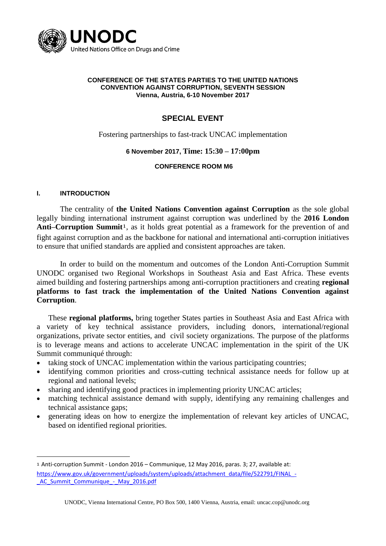

#### **CONFERENCE OF THE STATES PARTIES TO THE UNITED NATIONS CONVENTION AGAINST CORRUPTION, SEVENTH SESSION Vienna, Austria, 6-10 November 2017**

# **SPECIAL EVENT**

Fostering partnerships to fast-track UNCAC implementation

#### **6 November 2017, Time: 15:30 – 17:00pm**

#### **CONFERENCE ROOM M6**

#### **I. INTRODUCTION**

<u>.</u>

The centrality of **the United Nations Convention against Corruption** as the sole global legally binding international instrument against corruption was underlined by the **2016 London Anti–Corruption Summit**1, as it holds great potential as a framework for the prevention of and fight against corruption and as the backbone for national and international anti-corruption initiatives to ensure that unified standards are applied and consistent approaches are taken.

In order to build on the momentum and outcomes of the London Anti-Corruption Summit UNODC organised two Regional Workshops in Southeast Asia and East Africa. These events aimed building and fostering partnerships among anti-corruption practitioners and creating **regional platforms to fast track the implementation of the United Nations Convention against Corruption**.

These **regional platforms,** bring together States parties in Southeast Asia and East Africa with a variety of key technical assistance providers, including donors, international/regional organizations, private sector entities, and civil society organizations. The purpose of the platforms is to leverage means and actions to accelerate UNCAC implementation in the spirit of the UK Summit communiqué through:

- taking stock of UNCAC implementation within the various participating countries;
- identifying common priorities and cross-cutting technical assistance needs for follow up at regional and national levels;
- sharing and identifying good practices in implementing priority UNCAC articles;
- matching technical assistance demand with supply, identifying any remaining challenges and technical assistance gaps;
- generating ideas on how to energize the implementation of relevant key articles of UNCAC, based on identified regional priorities.

<sup>1</sup> Anti-corruption Summit - London 2016 – Communique, 12 May 2016, paras. 3; 27, available at: [https://www.gov.uk/government/uploads/system/uploads/attachment\\_data/file/522791/FINAL\\_-](https://www.gov.uk/government/uploads/system/uploads/attachment_data/file/522791/FINAL_-_AC_Summit_Communique_-_May_2016.pdf) AC Summit Communique - May 2016.pdf